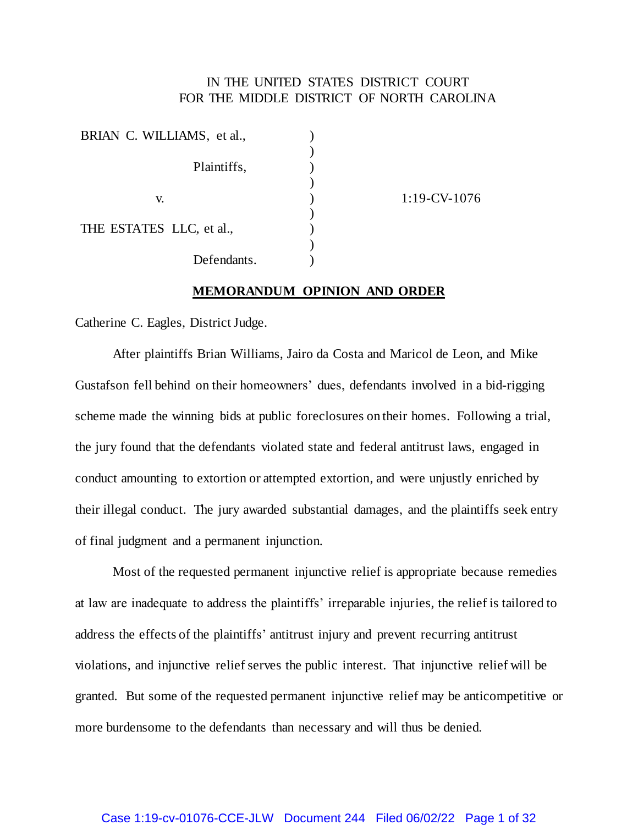## IN THE UNITED STATES DISTRICT COURT FOR THE MIDDLE DISTRICT OF NORTH CAROLINA

| BRIAN C. WILLIAMS, et al., |             |
|----------------------------|-------------|
|                            |             |
|                            | Plaintiffs, |
|                            |             |
| V.                         |             |
|                            |             |
| THE ESTATES LLC, et al.,   |             |
|                            |             |
|                            | Defendants. |

 $1:19$ -CV- $1076$ 

#### **MEMORANDUM OPINION AND ORDER**

Catherine C. Eagles, District Judge.

After plaintiffs Brian Williams, Jairo da Costa and Maricol de Leon, and Mike Gustafson fell behind on their homeowners' dues, defendants involved in a bid-rigging scheme made the winning bids at public foreclosures on their homes. Following a trial, the jury found that the defendants violated state and federal antitrust laws, engaged in conduct amounting to extortion or attempted extortion, and were unjustly enriched by their illegal conduct. The jury awarded substantial damages, and the plaintiffs seek entry of final judgment and a permanent injunction.

Most of the requested permanent injunctive relief is appropriate because remedies at law are inadequate to address the plaintiffs' irreparable injuries, the relief is tailored to address the effects of the plaintiffs' antitrust injury and prevent recurring antitrust violations, and injunctive relief serves the public interest. That injunctive relief will be granted. But some of the requested permanent injunctive relief may be anticompetitive or more burdensome to the defendants than necessary and will thus be denied.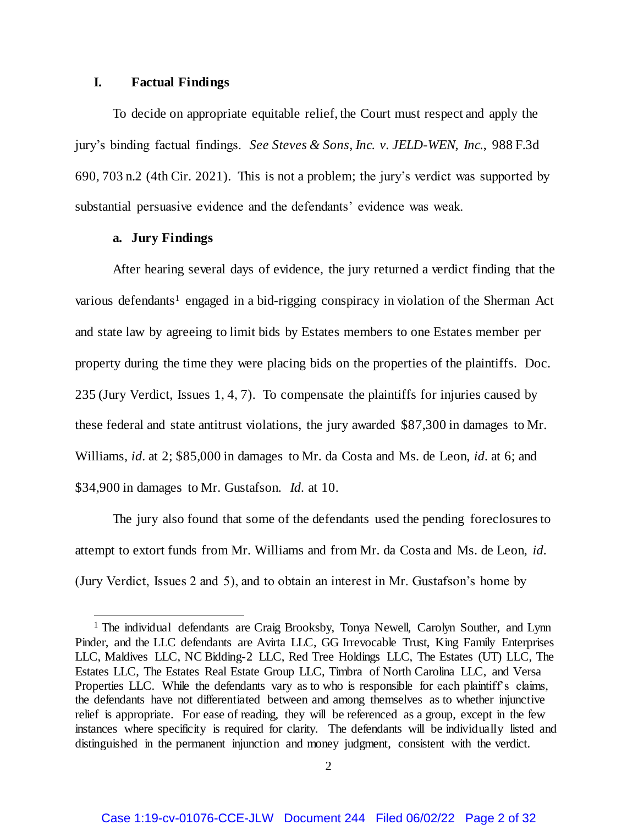### **I. Factual Findings**

To decide on appropriate equitable relief, the Court must respect and apply the jury's binding factual findings. *See Steves & Sons, Inc. v. JELD-WEN, Inc.*, 988 F.3d 690, 703 n.2 (4th Cir. 2021). This is not a problem; the jury's verdict was supported by substantial persuasive evidence and the defendants' evidence was weak.

### **a. Jury Findings**

 $\overline{a}$ 

After hearing several days of evidence, the jury returned a verdict finding that the various defendants<sup>1</sup> engaged in a bid-rigging conspiracy in violation of the Sherman Act and state law by agreeing to limit bids by Estates members to one Estates member per property during the time they were placing bids on the properties of the plaintiffs. Doc. 235 (Jury Verdict, Issues 1, 4, 7). To compensate the plaintiffs for injuries caused by these federal and state antitrust violations, the jury awarded \$87,300 in damages to Mr. Williams, *id.* at 2; \$85,000 in damages to Mr. da Costa and Ms. de Leon, *id.* at 6; and \$34,900 in damages to Mr. Gustafson. *Id.* at 10.

The jury also found that some of the defendants used the pending foreclosures to attempt to extort funds from Mr. Williams and from Mr. da Costa and Ms. de Leon, *id.* (Jury Verdict, Issues 2 and 5), and to obtain an interest in Mr. Gustafson's home by

<sup>&</sup>lt;sup>1</sup> The individual defendants are Craig Brooksby, Tonya Newell, Carolyn Souther, and Lynn Pinder, and the LLC defendants are Avirta LLC, GG Irrevocable Trust, King Family Enterprises LLC, Maldives LLC, NC Bidding-2 LLC, Red Tree Holdings LLC, The Estates (UT) LLC, The Estates LLC, The Estates Real Estate Group LLC, Timbra of North Carolina LLC, and Versa Properties LLC. While the defendants vary as to who is responsible for each plaintiff's claims, the defendants have not differentiated between and among themselves as to whether injunctive relief is appropriate. For ease of reading, they will be referenced as a group, except in the few instances where specificity is required for clarity. The defendants will be individually listed and distinguished in the permanent injunction and money judgment, consistent with the verdict.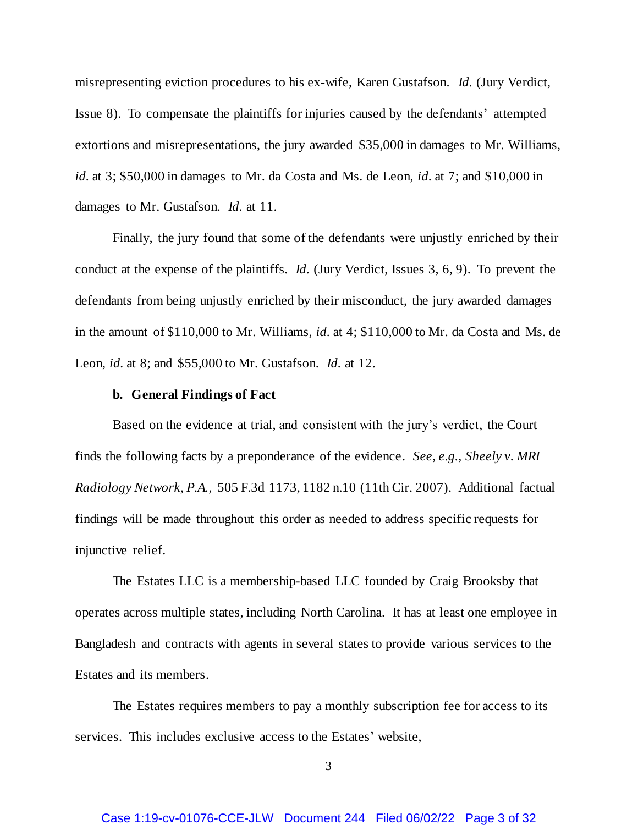misrepresenting eviction procedures to his ex-wife, Karen Gustafson. *Id.* (Jury Verdict, Issue 8). To compensate the plaintiffs for injuries caused by the defendants' attempted extortions and misrepresentations, the jury awarded \$35,000 in damages to Mr. Williams, *id.* at 3; \$50,000 in damages to Mr. da Costa and Ms. de Leon, *id.* at 7; and \$10,000 in damages to Mr. Gustafson. *Id.* at 11.

Finally, the jury found that some of the defendants were unjustly enriched by their conduct at the expense of the plaintiffs. *Id.* (Jury Verdict, Issues 3, 6, 9). To prevent the defendants from being unjustly enriched by their misconduct, the jury awarded damages in the amount of \$110,000 to Mr. Williams, *id.* at 4; \$110,000 to Mr. da Costa and Ms. de Leon, *id.* at 8; and \$55,000 to Mr. Gustafson. *Id.* at 12.

#### **b. General Findings of Fact**

Based on the evidence at trial, and consistent with the jury's verdict, the Court finds the following facts by a preponderance of the evidence. *See, e.g.*, *Sheely v. MRI Radiology Network, P.A.*, 505 F.3d 1173, 1182 n.10 (11th Cir. 2007). Additional factual findings will be made throughout this order as needed to address specific requests for injunctive relief.

The Estates LLC is a membership-based LLC founded by Craig Brooksby that operates across multiple states, including North Carolina. It has at least one employee in Bangladesh and contracts with agents in several states to provide various services to the Estates and its members.

The Estates requires members to pay a monthly subscription fee for access to its services. This includes exclusive access to the Estates' website,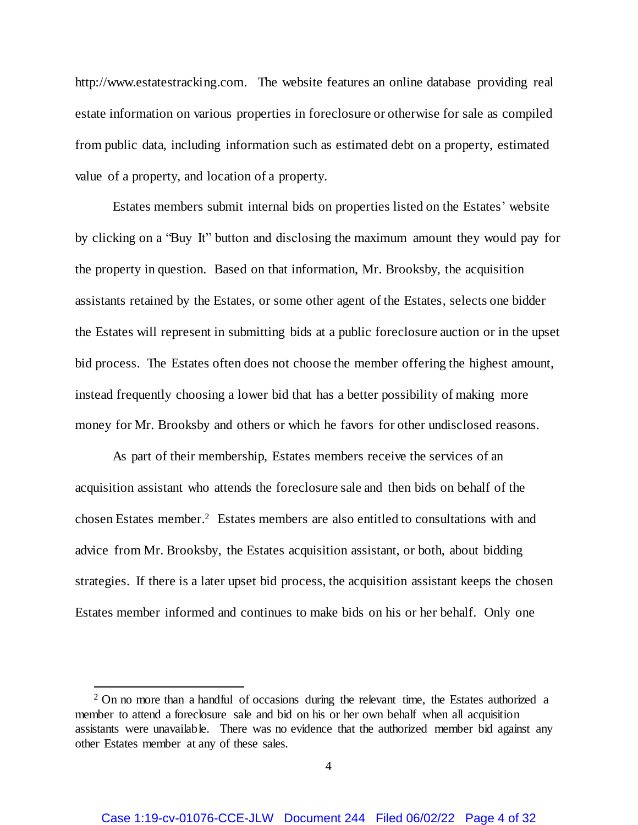http://www.estatestracking.com. The website features an online database providing real estate information on various properties in foreclosure or otherwise for sale as compiled from public data, including information such as estimated debt on a property, estimated value of a property, and location of a property.

Estates members submit internal bids on properties listed on the Estates' website by clicking on a "Buy It" button and disclosing the maximum amount they would pay for the property in question. Based on that information, Mr. Brooksby, the acquisition assistants retained by the Estates, or some other agent of the Estates, selects one bidder the Estates will represent in submitting bids at a public foreclosure auction or in the upset bid process. The Estates often does not choose the member offering the highest amount, instead frequently choosing a lower bid that has a better possibility of making more money for Mr. Brooksby and others or which he favors for other undisclosed reasons.

As part of their membership, Estates members receive the services of an acquisition assistant who attends the foreclosure sale and then bids on behalf of the chosen Estates member. <sup>2</sup> Estates members are also entitled to consultations with and advice from Mr. Brooksby, the Estates acquisition assistant, or both, about bidding strategies. If there is a later upset bid process, the acquisition assistant keeps the chosen Estates member informed and continues to make bids on his or her behalf. Only one

<sup>&</sup>lt;sup>2</sup> On no more than a handful of occasions during the relevant time, the Estates authorized a member to attend a foreclosure sale and bid on his or her own behalf when all acquisition assistants were unavailable. There was no evidence that the authorized member bid against any other Estates member at any of these sales.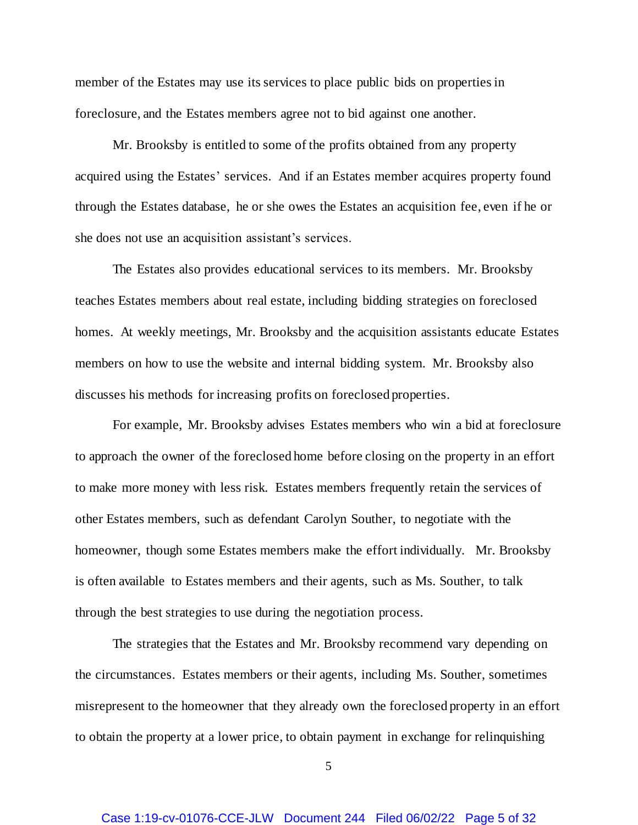member of the Estates may use its services to place public bids on properties in foreclosure, and the Estates members agree not to bid against one another.

Mr. Brooksby is entitled to some of the profits obtained from any property acquired using the Estates' services. And if an Estates member acquires property found through the Estates database, he or she owes the Estates an acquisition fee, even if he or she does not use an acquisition assistant's services.

The Estates also provides educational services to its members. Mr. Brooksby teaches Estates members about real estate, including bidding strategies on foreclosed homes. At weekly meetings, Mr. Brooksby and the acquisition assistants educate Estates members on how to use the website and internal bidding system. Mr. Brooksby also discusses his methods for increasing profits on foreclosed properties.

For example, Mr. Brooksby advises Estates members who win a bid at foreclosure to approach the owner of the foreclosed home before closing on the property in an effort to make more money with less risk. Estates members frequently retain the services of other Estates members, such as defendant Carolyn Souther, to negotiate with the homeowner, though some Estates members make the effort individually. Mr. Brooksby is often available to Estates members and their agents, such as Ms. Souther, to talk through the best strategies to use during the negotiation process.

The strategies that the Estates and Mr. Brooksby recommend vary depending on the circumstances. Estates members or their agents, including Ms. Souther, sometimes misrepresent to the homeowner that they already own the foreclosed property in an effort to obtain the property at a lower price, to obtain payment in exchange for relinquishing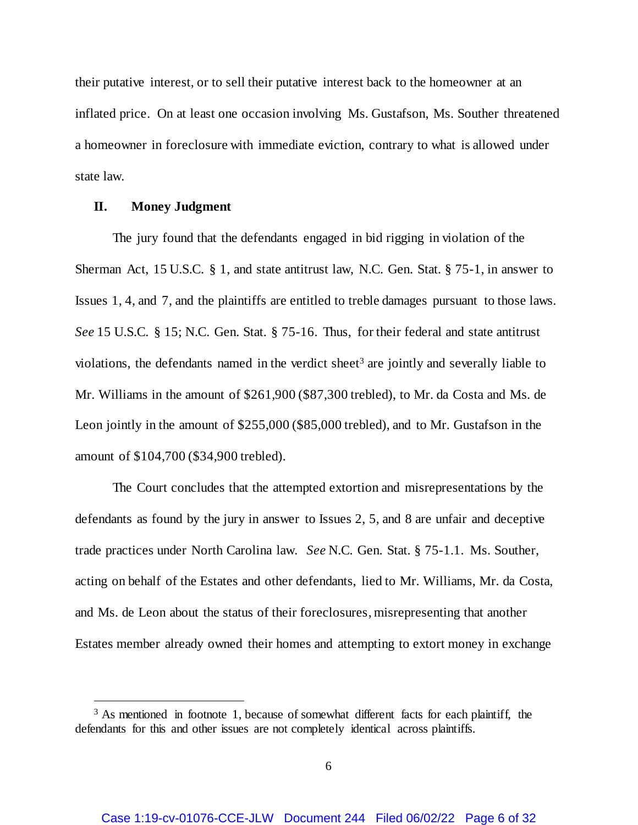their putative interest, or to sell their putative interest back to the homeowner at an inflated price. On at least one occasion involving Ms. Gustafson, Ms. Souther threatened a homeowner in foreclosure with immediate eviction, contrary to what is allowed under state law.

### **II. Money Judgment**

l

The jury found that the defendants engaged in bid rigging in violation of the Sherman Act, 15 U.S.C. § 1, and state antitrust law, N.C. Gen. Stat. § 75-1, in answer to Issues 1, 4, and 7, and the plaintiffs are entitled to treble damages pursuant to those laws. *See* 15 U.S.C. § 15; N.C. Gen. Stat. § 75-16. Thus, for their federal and state antitrust violations, the defendants named in the verdict sheet<sup>3</sup> are jointly and severally liable to Mr. Williams in the amount of \$261,900 (\$87,300 trebled), to Mr. da Costa and Ms. de Leon jointly in the amount of \$255,000 (\$85,000 trebled), and to Mr. Gustafson in the amount of \$104,700 (\$34,900 trebled).

The Court concludes that the attempted extortion and misrepresentations by the defendants as found by the jury in answer to Issues 2, 5, and 8 are unfair and deceptive trade practices under North Carolina law. *See* N.C. Gen. Stat. § 75-1.1. Ms. Souther, acting on behalf of the Estates and other defendants, lied to Mr. Williams, Mr. da Costa, and Ms. de Leon about the status of their foreclosures, misrepresenting that another Estates member already owned their homes and attempting to extort money in exchange

<sup>&</sup>lt;sup>3</sup> As mentioned in footnote 1, because of somewhat different facts for each plaintiff, the defendants for this and other issues are not completely identical across plaintiffs.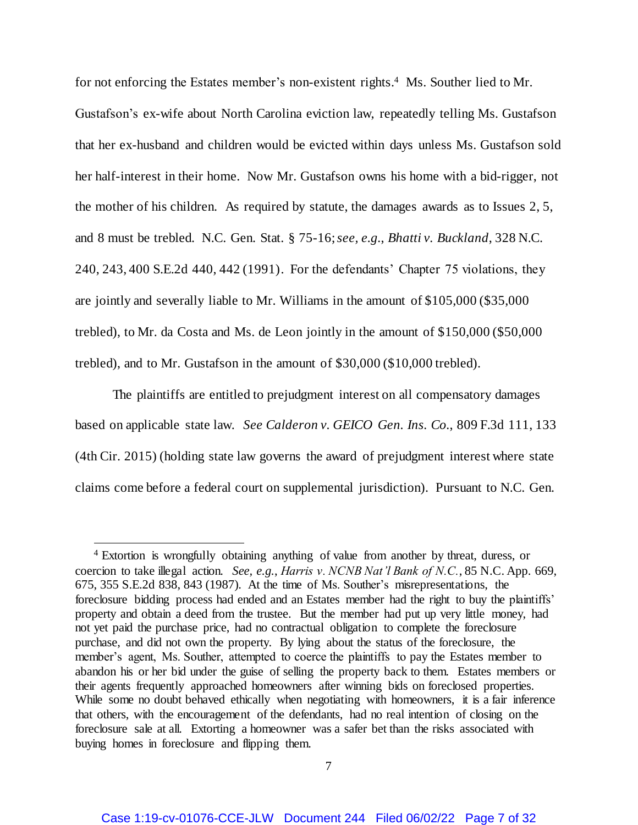for not enforcing the Estates member's non-existent rights. 4 Ms. Souther lied to Mr. Gustafson's ex-wife about North Carolina eviction law, repeatedly telling Ms. Gustafson that her ex-husband and children would be evicted within days unless Ms. Gustafson sold her half-interest in their home. Now Mr. Gustafson owns his home with a bid-rigger, not the mother of his children. As required by statute, the damages awards as to Issues 2, 5, and 8 must be trebled. N.C. Gen. Stat. § 75-16; *see, e.g.*, *Bhatti v. Buckland*, 328 N.C. 240, 243, 400 S.E.2d 440, 442 (1991). For the defendants' Chapter 75 violations, they are jointly and severally liable to Mr. Williams in the amount of \$105,000 (\$35,000 trebled), to Mr. da Costa and Ms. de Leon jointly in the amount of \$150,000 (\$50,000 trebled), and to Mr. Gustafson in the amount of \$30,000 (\$10,000 trebled).

The plaintiffs are entitled to prejudgment interest on all compensatory damages based on applicable state law. *See Calderon v. GEICO Gen. Ins. Co.*, 809 F.3d 111, 133 (4th Cir. 2015) (holding state law governs the award of prejudgment interest where state claims come before a federal court on supplemental jurisdiction). Pursuant to N.C. Gen.

 $\overline{a}$ 

<sup>4</sup> Extortion is wrongfully obtaining anything of value from another by threat, duress, or coercion to take illegal action. *See, e.g.*, *Harris v. NCNB Nat'l Bank of N.C.*, 85 N.C. App. 669, 675, 355 S.E.2d 838, 843 (1987). At the time of Ms. Souther's misrepresentations, the foreclosure bidding process had ended and an Estates member had the right to buy the plaintiffs' property and obtain a deed from the trustee. But the member had put up very little money, had not yet paid the purchase price, had no contractual obligation to complete the foreclosure purchase, and did not own the property. By lying about the status of the foreclosure, the member's agent, Ms. Souther, attempted to coerce the plaintiffs to pay the Estates member to abandon his or her bid under the guise of selling the property back to them. Estates members or their agents frequently approached homeowners after winning bids on foreclosed properties. While some no doubt behaved ethically when negotiating with homeowners, it is a fair inference that others, with the encouragement of the defendants, had no real intention of closing on the foreclosure sale at all. Extorting a homeowner was a safer bet than the risks associated with buying homes in foreclosure and flipping them.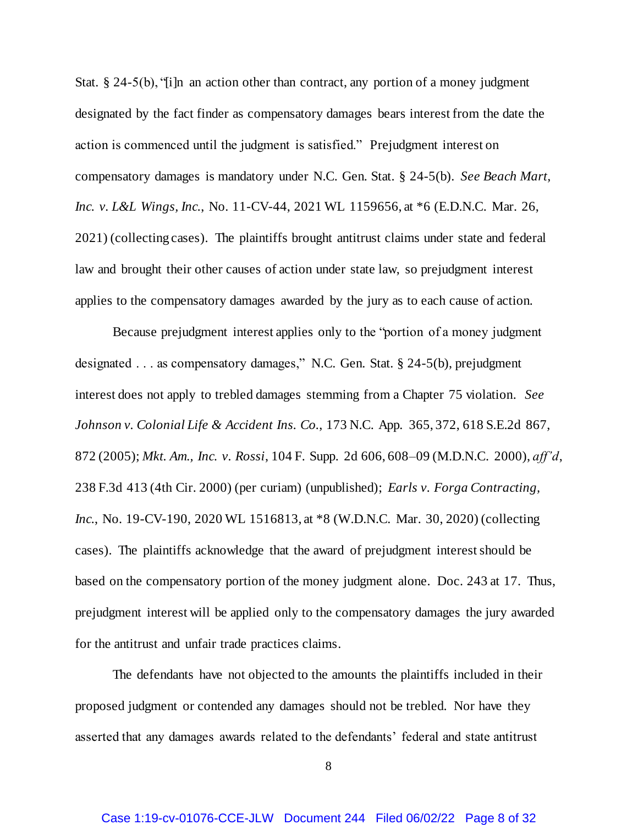Stat.  $\S$  24-5(b), "[i]n an action other than contract, any portion of a money judgment designated by the fact finder as compensatory damages bears interest from the date the action is commenced until the judgment is satisfied." Prejudgment interest on compensatory damages is mandatory under N.C. Gen. Stat. § 24-5(b). *See Beach Mart, Inc. v. L&L Wings, Inc.*, No. 11-CV-44, 2021 WL 1159656, at \*6 (E.D.N.C. Mar. 26, 2021) (collecting cases). The plaintiffs brought antitrust claims under state and federal law and brought their other causes of action under state law, so prejudgment interest applies to the compensatory damages awarded by the jury as to each cause of action.

Because prejudgment interest applies only to the "portion of a money judgment designated . . . as compensatory damages," N.C. Gen. Stat. § 24-5(b), prejudgment interest does not apply to trebled damages stemming from a Chapter 75 violation. *See Johnson v. Colonial Life & Accident Ins. Co.*, 173 N.C. App. 365, 372, 618 S.E.2d 867, 872 (2005); *Mkt. Am., Inc. v. Rossi*, 104 F. Supp. 2d 606, 608–09 (M.D.N.C. 2000), *aff'd*, 238 F.3d 413 (4th Cir. 2000) (per curiam) (unpublished); *Earls v. Forga Contracting, Inc.*, No. 19-CV-190, 2020 WL 1516813, at \*8 (W.D.N.C. Mar. 30, 2020) (collecting cases). The plaintiffs acknowledge that the award of prejudgment interest should be based on the compensatory portion of the money judgment alone. Doc. 243 at 17. Thus, prejudgment interest will be applied only to the compensatory damages the jury awarded for the antitrust and unfair trade practices claims.

The defendants have not objected to the amounts the plaintiffs included in their proposed judgment or contended any damages should not be trebled. Nor have they asserted that any damages awards related to the defendants' federal and state antitrust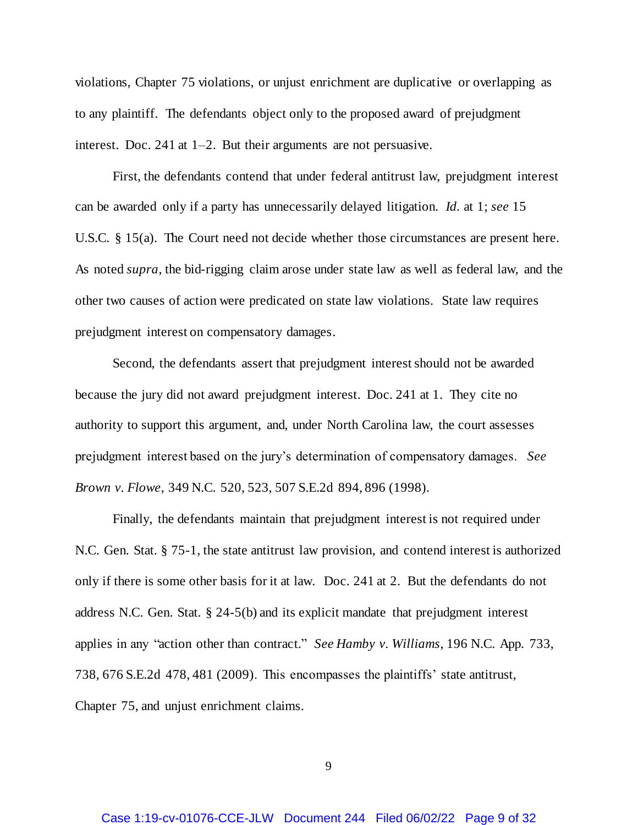violations, Chapter 75 violations, or unjust enrichment are duplicative or overlapping as to any plaintiff. The defendants object only to the proposed award of prejudgment interest. Doc. 241 at 1–2. But their arguments are not persuasive.

First, the defendants contend that under federal antitrust law, prejudgment interest can be awarded only if a party has unnecessarily delayed litigation. *Id.* at 1; *see* 15 U.S.C. § 15(a). The Court need not decide whether those circumstances are present here. As noted *supra*, the bid-rigging claim arose under state law as well as federal law, and the other two causes of action were predicated on state law violations. State law requires prejudgment interest on compensatory damages.

Second, the defendants assert that prejudgment interest should not be awarded because the jury did not award prejudgment interest. Doc. 241 at 1. They cite no authority to support this argument, and, under North Carolina law, the court assesses prejudgment interest based on the jury's determination of compensatory damages. *See Brown v. Flowe*, 349 N.C. 520, 523, 507 S.E.2d 894, 896 (1998).

Finally, the defendants maintain that prejudgment interest is not required under N.C. Gen. Stat. § 75-1, the state antitrust law provision, and contend interest is authorized only if there is some other basis for it at law. Doc. 241 at 2. But the defendants do not address N.C. Gen. Stat. § 24-5(b) and its explicit mandate that prejudgment interest applies in any "action other than contract." *See Hamby v. Williams*, 196 N.C. App. 733, 738, 676 S.E.2d 478, 481 (2009). This encompasses the plaintiffs' state antitrust, Chapter 75, and unjust enrichment claims.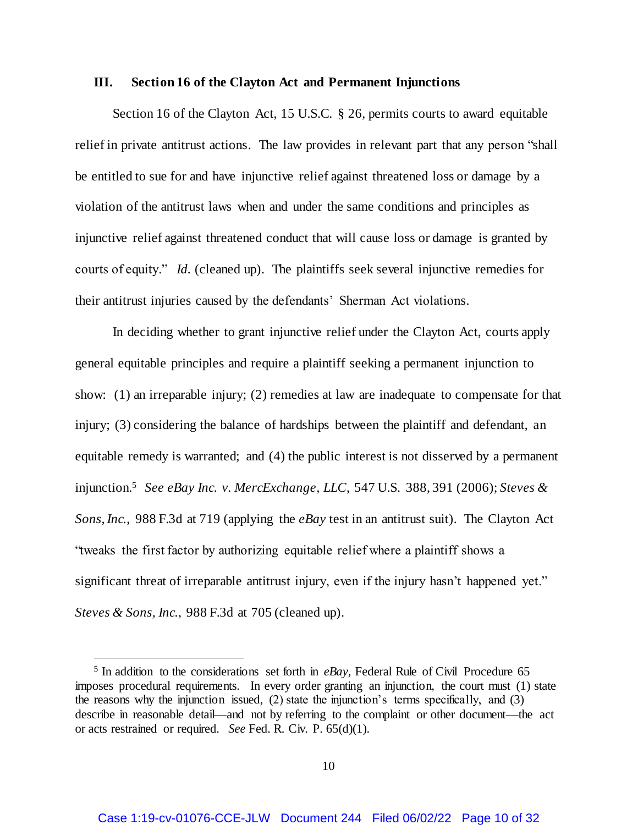### **III. Section 16 of the Clayton Act and Permanent Injunctions**

Section 16 of the Clayton Act, 15 U.S.C. § 26, permits courts to award equitable relief in private antitrust actions. The law provides in relevant part that any person "shall be entitled to sue for and have injunctive relief against threatened loss or damage by a violation of the antitrust laws when and under the same conditions and principles as injunctive relief against threatened conduct that will cause loss or damage is granted by courts of equity." *Id.* (cleaned up). The plaintiffs seek several injunctive remedies for their antitrust injuries caused by the defendants' Sherman Act violations.

In deciding whether to grant injunctive relief under the Clayton Act, courts apply general equitable principles and require a plaintiff seeking a permanent injunction to show: (1) an irreparable injury; (2) remedies at law are inadequate to compensate for that injury; (3) considering the balance of hardships between the plaintiff and defendant, an equitable remedy is warranted; and (4) the public interest is not disserved by a permanent injunction.<sup>5</sup> *See eBay Inc. v. MercExchange, LLC*, 547 U.S. 388, 391 (2006); *Steves & Sons, Inc.*, 988 F.3d at 719 (applying the *eBay* test in an antitrust suit). The Clayton Act "tweaks the first factor by authorizing equitable relief where a plaintiff shows a significant threat of irreparable antitrust injury, even if the injury hasn't happened yet." *Steves & Sons, Inc.*, 988 F.3d at 705 (cleaned up).

<sup>&</sup>lt;sup>5</sup> In addition to the considerations set forth in *eBay*, Federal Rule of Civil Procedure 65 imposes procedural requirements. In every order granting an injunction, the court must (1) state the reasons why the injunction issued, (2) state the injunction's terms specifically, and (3) describe in reasonable detail—and not by referring to the complaint or other document—the act or acts restrained or required. *See* Fed. R. Civ. P. 65(d)(1).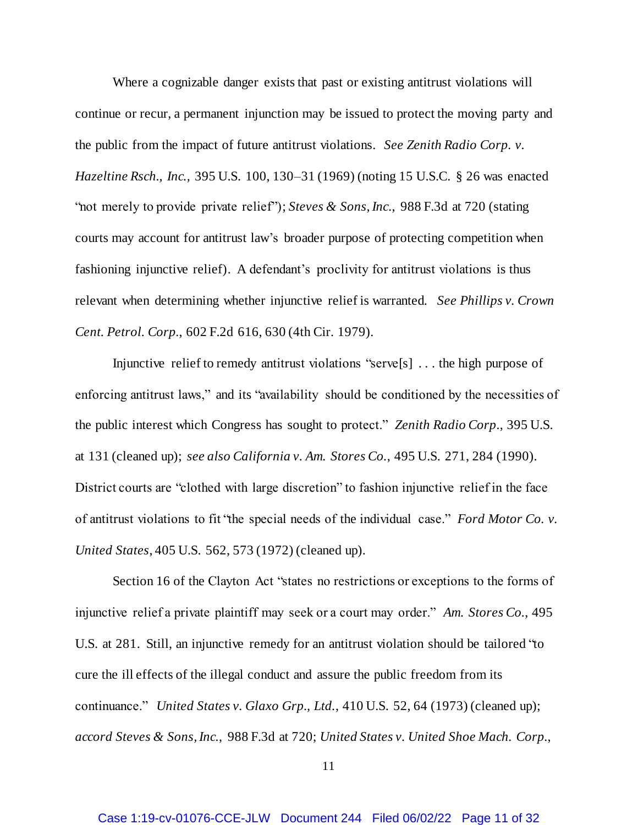Where a cognizable danger exists that past or existing antitrust violations will continue or recur, a permanent injunction may be issued to protect the moving party and the public from the impact of future antitrust violations. *See Zenith Radio Corp. v. Hazeltine Rsch., Inc.*, 395 U.S. 100, 130–31 (1969) (noting 15 U.S.C. § 26 was enacted "not merely to provide private relief"); *Steves & Sons, Inc.*, 988 F.3d at 720 (stating courts may account for antitrust law's broader purpose of protecting competition when fashioning injunctive relief). A defendant's proclivity for antitrust violations is thus relevant when determining whether injunctive relief is warranted. *See Phillips v. Crown Cent. Petrol. Corp.*, 602 F.2d 616, 630 (4th Cir. 1979).

Injunctive relief to remedy antitrust violations "serve[s] . . . the high purpose of enforcing antitrust laws," and its "availability should be conditioned by the necessities of the public interest which Congress has sought to protect." *Zenith Radio Corp.*, 395 U.S. at 131 (cleaned up); *see also California v. Am. Stores Co.*, 495 U.S. 271, 284 (1990). District courts are "clothed with large discretion" to fashion injunctive relief in the face of antitrust violations to fit "the special needs of the individual case." *Ford Motor Co. v. United States*, 405 U.S. 562, 573 (1972) (cleaned up).

Section 16 of the Clayton Act "states no restrictions or exceptions to the forms of injunctive relief a private plaintiff may seek or a court may order." *Am. Stores Co.*, 495 U.S. at 281. Still, an injunctive remedy for an antitrust violation should be tailored "to cure the ill effects of the illegal conduct and assure the public freedom from its continuance." *United States v. Glaxo Grp., Ltd.*, 410 U.S. 52, 64 (1973) (cleaned up); *accord Steves & Sons, Inc.*, 988 F.3d at 720; *United States v. United Shoe Mach. Corp.*,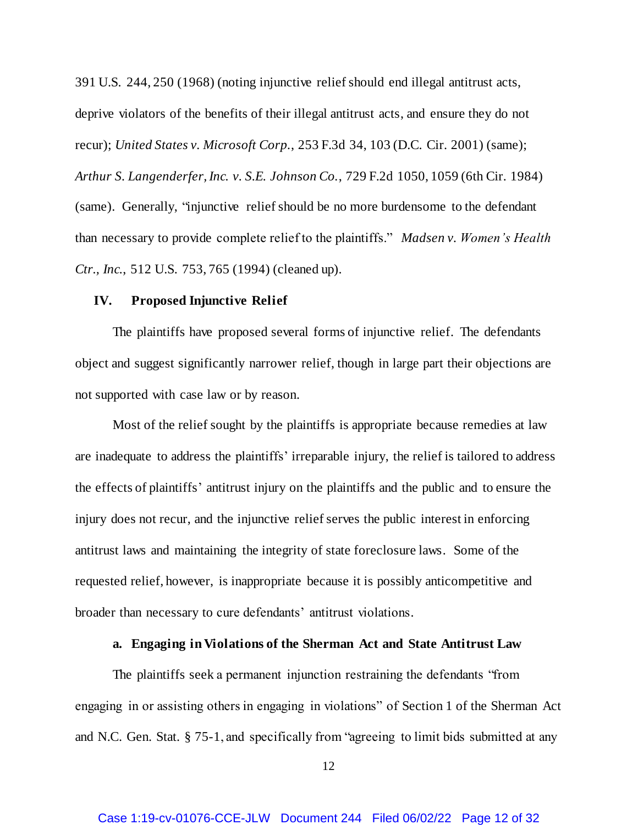391 U.S. 244, 250 (1968) (noting injunctive relief should end illegal antitrust acts, deprive violators of the benefits of their illegal antitrust acts, and ensure they do not recur); *United States v. Microsoft Corp.*, 253 F.3d 34, 103 (D.C. Cir. 2001) (same); *Arthur S. Langenderfer, Inc. v. S.E. Johnson Co.*, 729 F.2d 1050, 1059 (6th Cir. 1984) (same). Generally, "injunctive relief should be no more burdensome to the defendant than necessary to provide complete relief to the plaintiffs." *Madsen v. Women's Health Ctr., Inc.*, 512 U.S. 753, 765 (1994) (cleaned up).

## **IV. Proposed Injunctive Relief**

The plaintiffs have proposed several forms of injunctive relief. The defendants object and suggest significantly narrower relief, though in large part their objections are not supported with case law or by reason.

Most of the relief sought by the plaintiffs is appropriate because remedies at law are inadequate to address the plaintiffs' irreparable injury, the relief is tailored to address the effects of plaintiffs' antitrust injury on the plaintiffs and the public and to ensure the injury does not recur, and the injunctive relief serves the public interest in enforcing antitrust laws and maintaining the integrity of state foreclosure laws. Some of the requested relief, however, is inappropriate because it is possibly anticompetitive and broader than necessary to cure defendants' antitrust violations.

## **a. Engaging in Violations of the Sherman Act and State Antitrust Law**

The plaintiffs seek a permanent injunction restraining the defendants "from engaging in or assisting others in engaging in violations" of Section 1 of the Sherman Act and N.C. Gen. Stat. § 75-1, and specifically from "agreeing to limit bids submitted at any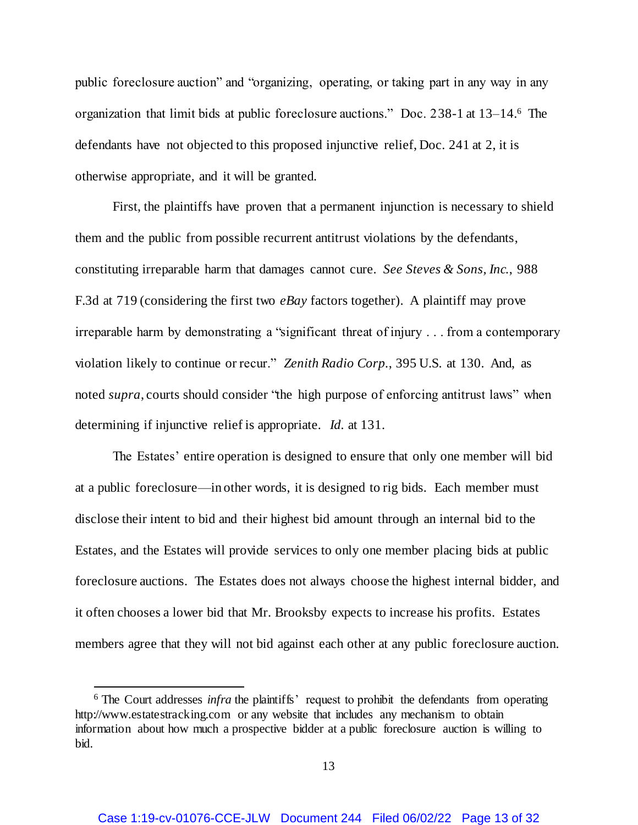public foreclosure auction" and "organizing, operating, or taking part in any way in any organization that limit bids at public foreclosure auctions." Doc. 238-1 at 13–14.<sup>6</sup> The defendants have not objected to this proposed injunctive relief, Doc. 241 at 2, it is otherwise appropriate, and it will be granted.

First, the plaintiffs have proven that a permanent injunction is necessary to shield them and the public from possible recurrent antitrust violations by the defendants, constituting irreparable harm that damages cannot cure. *See Steves & Sons, Inc.*, 988 F.3d at 719 (considering the first two *eBay* factors together). A plaintiff may prove irreparable harm by demonstrating a "significant threat of injury . . . from a contemporary violation likely to continue or recur." *Zenith Radio Corp.*, 395 U.S. at 130. And, as noted *supra*, courts should consider "the high purpose of enforcing antitrust laws" when determining if injunctive relief is appropriate. *Id.* at 131.

The Estates' entire operation is designed to ensure that only one member will bid at a public foreclosure—in other words, it is designed to rig bids. Each member must disclose their intent to bid and their highest bid amount through an internal bid to the Estates, and the Estates will provide services to only one member placing bids at public foreclosure auctions. The Estates does not always choose the highest internal bidder, and it often chooses a lower bid that Mr. Brooksby expects to increase his profits. Estates members agree that they will not bid against each other at any public foreclosure auction.

<sup>&</sup>lt;sup>6</sup> The Court addresses *infra* the plaintiffs' request to prohibit the defendants from operating http://www.estatestracking.com or any website that includes any mechanism to obtain information about how much a prospective bidder at a public foreclosure auction is willing to bid.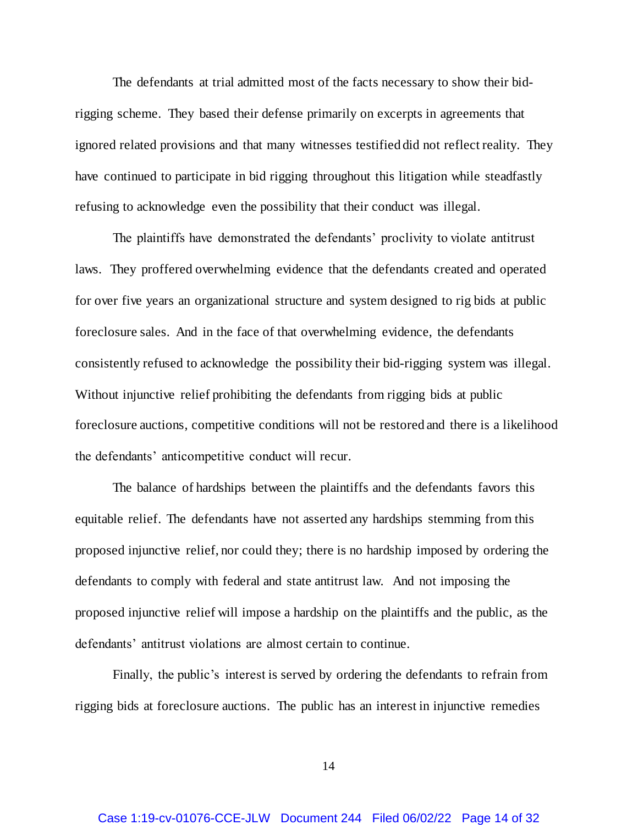The defendants at trial admitted most of the facts necessary to show their bidrigging scheme. They based their defense primarily on excerpts in agreements that ignored related provisions and that many witnesses testified did not reflect reality. They have continued to participate in bid rigging throughout this litigation while steadfastly refusing to acknowledge even the possibility that their conduct was illegal.

The plaintiffs have demonstrated the defendants' proclivity to violate antitrust laws. They proffered overwhelming evidence that the defendants created and operated for over five years an organizational structure and system designed to rig bids at public foreclosure sales. And in the face of that overwhelming evidence, the defendants consistently refused to acknowledge the possibility their bid-rigging system was illegal. Without injunctive relief prohibiting the defendants from rigging bids at public foreclosure auctions, competitive conditions will not be restored and there is a likelihood the defendants' anticompetitive conduct will recur.

The balance of hardships between the plaintiffs and the defendants favors this equitable relief. The defendants have not asserted any hardships stemming from this proposed injunctive relief, nor could they; there is no hardship imposed by ordering the defendants to comply with federal and state antitrust law. And not imposing the proposed injunctive relief will impose a hardship on the plaintiffs and the public, as the defendants' antitrust violations are almost certain to continue.

Finally, the public's interest is served by ordering the defendants to refrain from rigging bids at foreclosure auctions. The public has an interest in injunctive remedies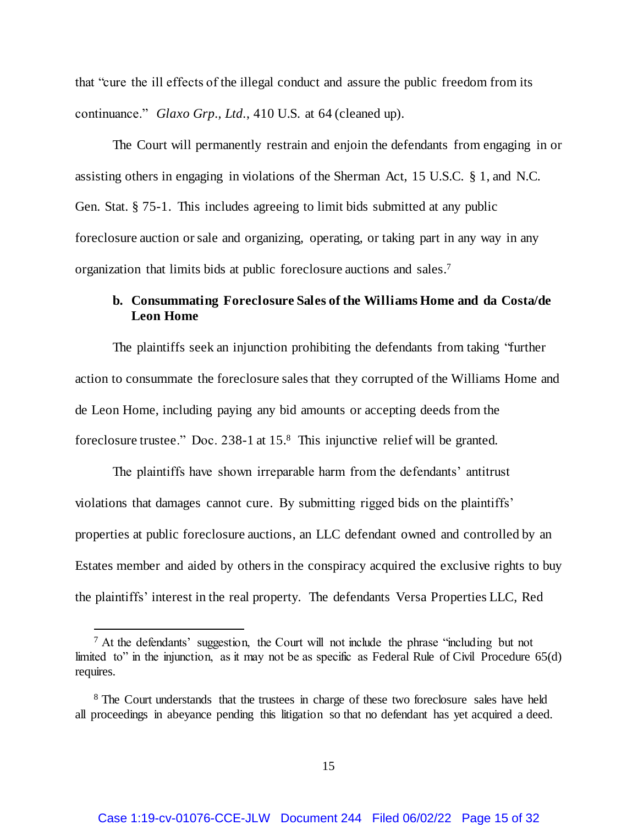that "cure the ill effects of the illegal conduct and assure the public freedom from its continuance." *Glaxo Grp., Ltd.*, 410 U.S. at 64 (cleaned up).

The Court will permanently restrain and enjoin the defendants from engaging in or assisting others in engaging in violations of the Sherman Act, 15 U.S.C. § 1, and N.C. Gen. Stat. § 75-1. This includes agreeing to limit bids submitted at any public foreclosure auction or sale and organizing, operating, or taking part in any way in any organization that limits bids at public foreclosure auctions and sales. 7

# **b. Consummating Foreclosure Sales of the Williams Home and da Costa/de Leon Home**

The plaintiffs seek an injunction prohibiting the defendants from taking "further action to consummate the foreclosure sales that they corrupted of the Williams Home and de Leon Home, including paying any bid amounts or accepting deeds from the foreclosure trustee." Doc. 238-1 at 15.<sup>8</sup> This injunctive relief will be granted.

The plaintiffs have shown irreparable harm from the defendants' antitrust violations that damages cannot cure. By submitting rigged bids on the plaintiffs' properties at public foreclosure auctions, an LLC defendant owned and controlled by an Estates member and aided by others in the conspiracy acquired the exclusive rights to buy the plaintiffs' interest in the real property. The defendants Versa Properties LLC, Red

 $<sup>7</sup>$  At the defendants' suggestion, the Court will not include the phrase "including but not</sup> limited to" in the injunction, as it may not be as specific as Federal Rule of Civil Procedure 65(d) requires.

<sup>&</sup>lt;sup>8</sup> The Court understands that the trustees in charge of these two foreclosure sales have held all proceedings in abeyance pending this litigation so that no defendant has yet acquired a deed.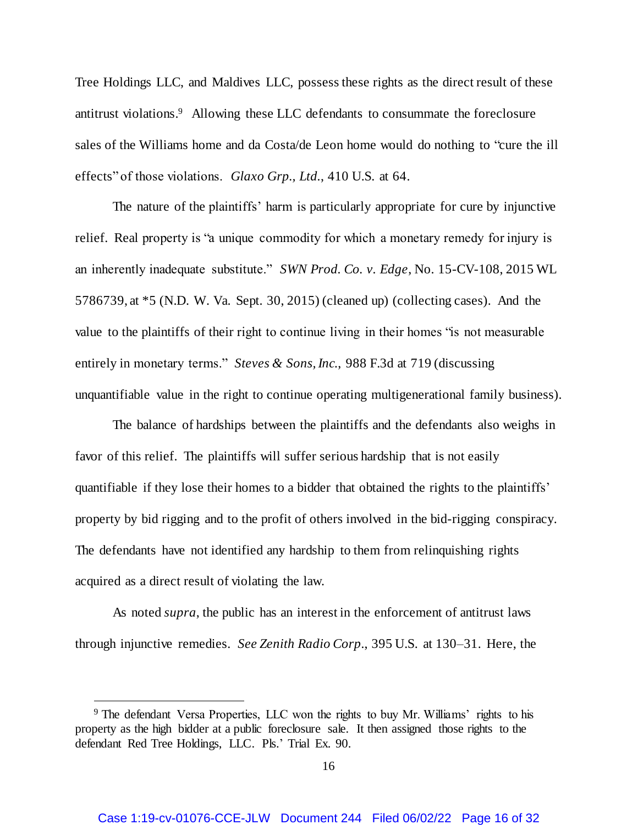Tree Holdings LLC, and Maldives LLC, possess these rights as the direct result of these antitrust violations. <sup>9</sup> Allowing these LLC defendants to consummate the foreclosure sales of the Williams home and da Costa/de Leon home would do nothing to "cure the ill effects" of those violations. *Glaxo Grp., Ltd.*, 410 U.S. at 64.

The nature of the plaintiffs' harm is particularly appropriate for cure by injunctive relief. Real property is "a unique commodity for which a monetary remedy for injury is an inherently inadequate substitute." *SWN Prod. Co. v. Edge*, No. 15-CV-108, 2015 WL 5786739, at \*5 (N.D. W. Va. Sept. 30, 2015) (cleaned up) (collecting cases). And the value to the plaintiffs of their right to continue living in their homes "is not measurable entirely in monetary terms." *Steves & Sons, Inc.*, 988 F.3d at 719 (discussing unquantifiable value in the right to continue operating multigenerational family business).

The balance of hardships between the plaintiffs and the defendants also weighs in favor of this relief. The plaintiffs will suffer serious hardship that is not easily quantifiable if they lose their homes to a bidder that obtained the rights to the plaintiffs' property by bid rigging and to the profit of others involved in the bid-rigging conspiracy. The defendants have not identified any hardship to them from relinquishing rights acquired as a direct result of violating the law.

As noted *supra*, the public has an interest in the enforcement of antitrust laws through injunctive remedies. *See Zenith Radio Corp.*, 395 U.S. at 130–31. Here, the

<sup>&</sup>lt;sup>9</sup> The defendant Versa Properties, LLC won the rights to buy Mr. Williams' rights to his property as the high bidder at a public foreclosure sale. It then assigned those rights to the defendant Red Tree Holdings, LLC. Pls.' Trial Ex. 90.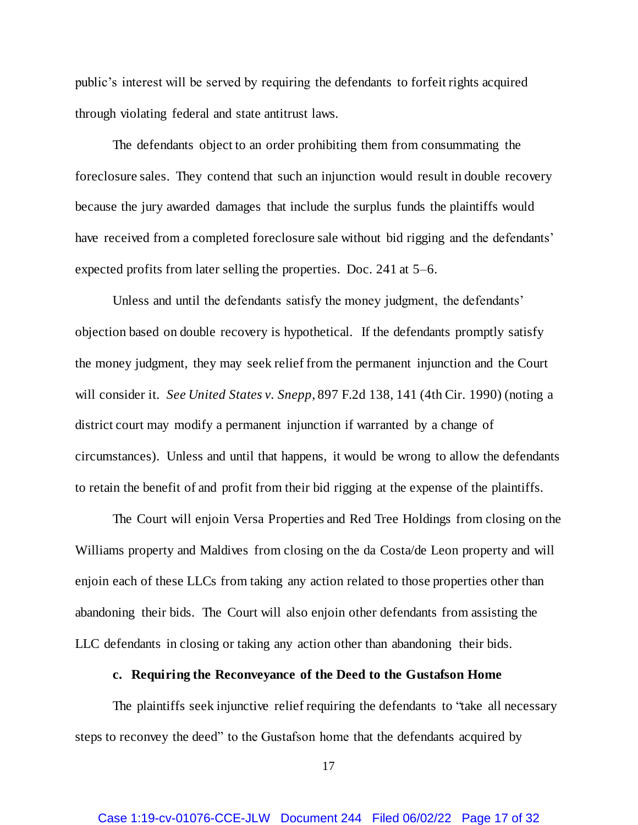public's interest will be served by requiring the defendants to forfeit rights acquired through violating federal and state antitrust laws.

The defendants object to an order prohibiting them from consummating the foreclosure sales. They contend that such an injunction would result in double recovery because the jury awarded damages that include the surplus funds the plaintiffs would have received from a completed foreclosure sale without bid rigging and the defendants' expected profits from later selling the properties. Doc. 241 at 5–6.

Unless and until the defendants satisfy the money judgment, the defendants' objection based on double recovery is hypothetical. If the defendants promptly satisfy the money judgment, they may seek relief from the permanent injunction and the Court will consider it. *See United States v. Snepp*, 897 F.2d 138, 141 (4th Cir. 1990) (noting a district court may modify a permanent injunction if warranted by a change of circumstances). Unless and until that happens, it would be wrong to allow the defendants to retain the benefit of and profit from their bid rigging at the expense of the plaintiffs.

The Court will enjoin Versa Properties and Red Tree Holdings from closing on the Williams property and Maldives from closing on the da Costa/de Leon property and will enjoin each of these LLCs from taking any action related to those properties other than abandoning their bids. The Court will also enjoin other defendants from assisting the LLC defendants in closing or taking any action other than abandoning their bids.

### **c. Requiring the Reconveyance of the Deed to the Gustafson Home**

The plaintiffs seek injunctive relief requiring the defendants to "take all necessary steps to reconvey the deed" to the Gustafson home that the defendants acquired by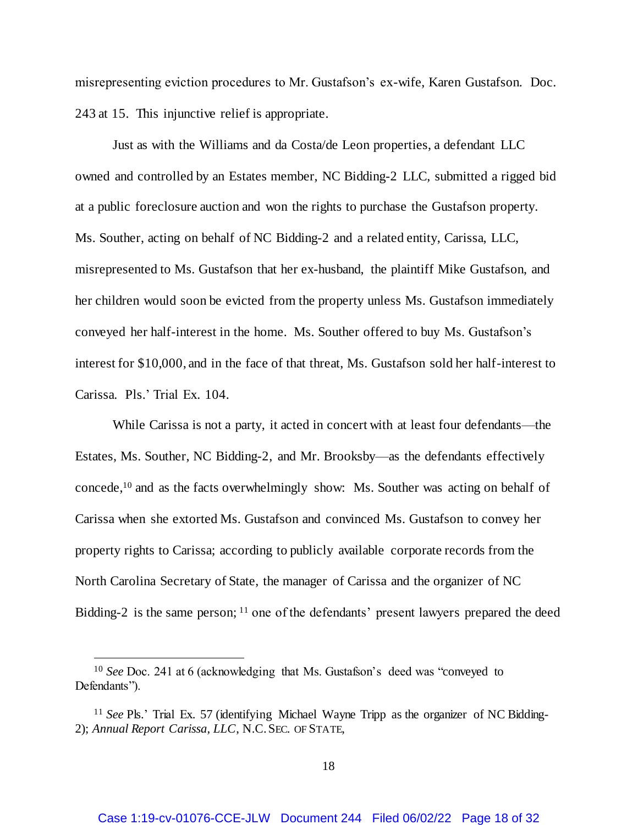misrepresenting eviction procedures to Mr. Gustafson's ex-wife, Karen Gustafson. Doc. 243 at 15. This injunctive relief is appropriate.

Just as with the Williams and da Costa/de Leon properties, a defendant LLC owned and controlled by an Estates member, NC Bidding-2 LLC, submitted a rigged bid at a public foreclosure auction and won the rights to purchase the Gustafson property. Ms. Souther, acting on behalf of NC Bidding-2 and a related entity, Carissa, LLC, misrepresented to Ms. Gustafson that her ex-husband, the plaintiff Mike Gustafson, and her children would soon be evicted from the property unless Ms. Gustafson immediately conveyed her half-interest in the home. Ms. Souther offered to buy Ms. Gustafson's interest for \$10,000, and in the face of that threat, Ms. Gustafson sold her half-interest to Carissa. Pls.' Trial Ex. 104.

While Carissa is not a party, it acted in concert with at least four defendants—the Estates, Ms. Souther, NC Bidding-2, and Mr. Brooksby—as the defendants effectively concede, <sup>10</sup> and as the facts overwhelmingly show: Ms. Souther was acting on behalf of Carissa when she extorted Ms. Gustafson and convinced Ms. Gustafson to convey her property rights to Carissa; according to publicly available corporate records from the North Carolina Secretary of State, the manager of Carissa and the organizer of NC Bidding-2 is the same person; <sup>11</sup> one of the defendants' present lawyers prepared the deed

<sup>10</sup> *See* Doc. 241 at 6 (acknowledging that Ms. Gustafson's deed was "conveyed to Defendants").

<sup>&</sup>lt;sup>11</sup> See Pls.' Trial Ex. 57 (identifying Michael Wayne Tripp as the organizer of NC Bidding-2); *Annual Report Carissa, LLC*, N.C.SEC. OF STATE,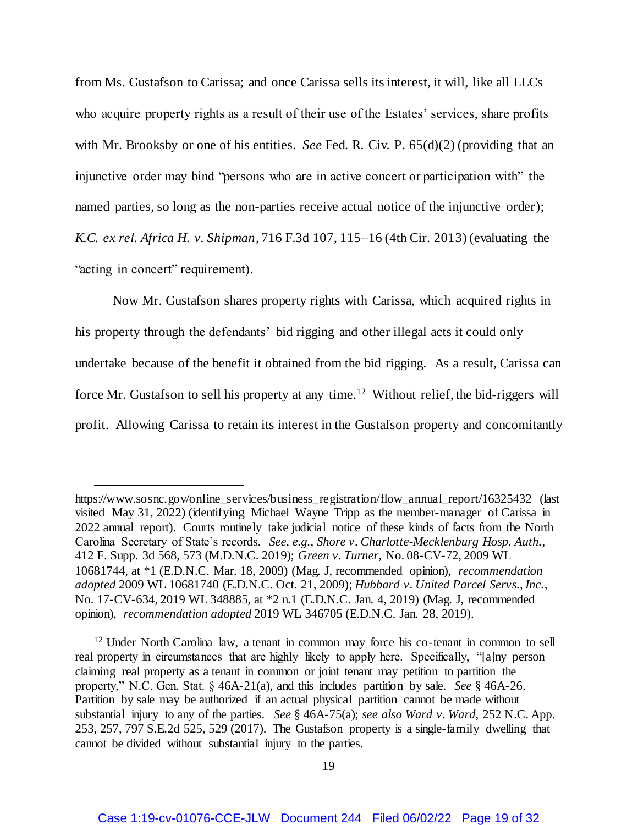from Ms. Gustafson to Carissa; and once Carissa sells its interest, it will, like all LLCs who acquire property rights as a result of their use of the Estates' services, share profits with Mr. Brooksby or one of his entities. *See* Fed. R. Civ. P. 65(d)(2) (providing that an injunctive order may bind "persons who are in active concert or participation with" the named parties, so long as the non-parties receive actual notice of the injunctive order); *K.C. ex rel. Africa H. v. Shipman*, 716 F.3d 107, 115–16 (4th Cir. 2013) (evaluating the "acting in concert" requirement).

Now Mr. Gustafson shares property rights with Carissa, which acquired rights in his property through the defendants' bid rigging and other illegal acts it could only undertake because of the benefit it obtained from the bid rigging. As a result, Carissa can force Mr. Gustafson to sell his property at any time.<sup>12</sup> Without relief, the bid-riggers will profit. Allowing Carissa to retain its interest in the Gustafson property and concomitantly

 $\overline{a}$ 

<sup>12</sup> Under North Carolina law, a tenant in common may force his co-tenant in common to sell real property in circumstances that are highly likely to apply here. Specifically, "[a]ny person claiming real property as a tenant in common or joint tenant may petition to partition the property," N.C. Gen. Stat. § 46A-21(a), and this includes partition by sale. *See* § 46A-26. Partition by sale may be authorized if an actual physical partition cannot be made without substantial injury to any of the parties. *See* § 46A-75(a); *see also Ward v. Ward*, 252 N.C. App. 253, 257, 797 S.E.2d 525, 529 (2017). The Gustafson property is a single-family dwelling that cannot be divided without substantial injury to the parties.

https://www.sosnc.gov/online\_services/business\_registration/flow\_annual\_report/16325432 (last visited May 31, 2022) (identifying Michael Wayne Tripp as the member-manager of Carissa in 2022 annual report). Courts routinely take judicial notice of these kinds of facts from the North Carolina Secretary of State's records. *See, e.g.*, *Shore v. Charlotte-Mecklenburg Hosp. Auth.*, 412 F. Supp. 3d 568, 573 (M.D.N.C. 2019); *Green v. Turner*, No. 08-CV-72, 2009 WL 10681744, at \*1 (E.D.N.C. Mar. 18, 2009) (Mag. J, recommended opinion), *recommendation adopted* 2009 WL 10681740 (E.D.N.C. Oct. 21, 2009); *Hubbard v. United Parcel Servs., Inc.*, No. 17-CV-634, 2019 WL 348885, at \*2 n.1 (E.D.N.C. Jan. 4, 2019) (Mag. J, recommended opinion), *recommendation adopted* 2019 WL 346705 (E.D.N.C. Jan. 28, 2019).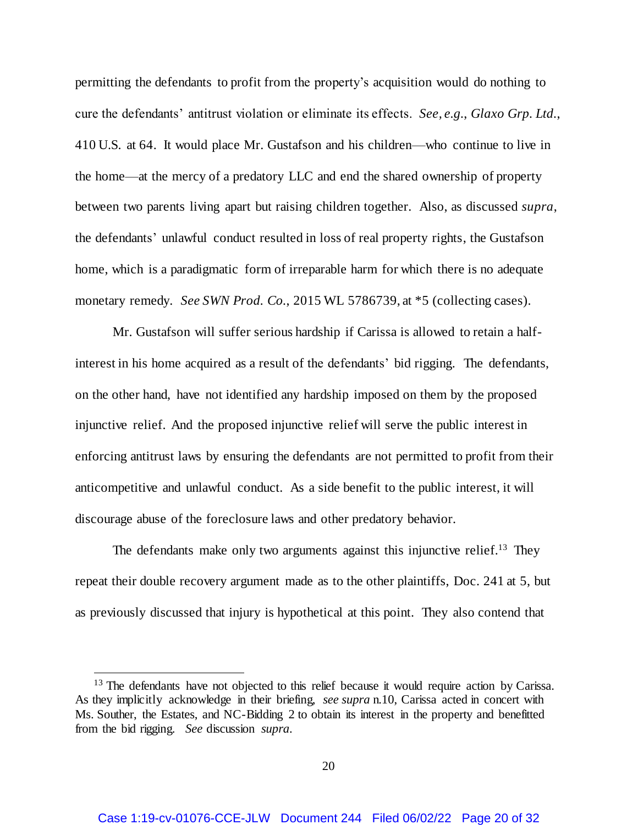permitting the defendants to profit from the property's acquisition would do nothing to cure the defendants' antitrust violation or eliminate its effects. *See, e.g.*, *Glaxo Grp. Ltd.*, 410 U.S. at 64. It would place Mr. Gustafson and his children—who continue to live in the home—at the mercy of a predatory LLC and end the shared ownership of property between two parents living apart but raising children together. Also, as discussed *supra*, the defendants' unlawful conduct resulted in loss of real property rights, the Gustafson home, which is a paradigmatic form of irreparable harm for which there is no adequate monetary remedy. *See SWN Prod. Co.*, 2015 WL 5786739, at \*5 (collecting cases).

Mr. Gustafson will suffer serious hardship if Carissa is allowed to retain a halfinterest in his home acquired as a result of the defendants' bid rigging. The defendants, on the other hand, have not identified any hardship imposed on them by the proposed injunctive relief. And the proposed injunctive relief will serve the public interest in enforcing antitrust laws by ensuring the defendants are not permitted to profit from their anticompetitive and unlawful conduct. As a side benefit to the public interest, it will discourage abuse of the foreclosure laws and other predatory behavior.

The defendants make only two arguments against this injunctive relief.<sup>13</sup> They repeat their double recovery argument made as to the other plaintiffs, Doc. 241 at 5, but as previously discussed that injury is hypothetical at this point. They also contend that

<sup>&</sup>lt;sup>13</sup> The defendants have not objected to this relief because it would require action by Carissa. As they implicitly acknowledge in their briefing, *see supra* n.10, Carissa acted in concert with Ms. Souther, the Estates, and NC-Bidding 2 to obtain its interest in the property and benefitted from the bid rigging. *See* discussion *supra*.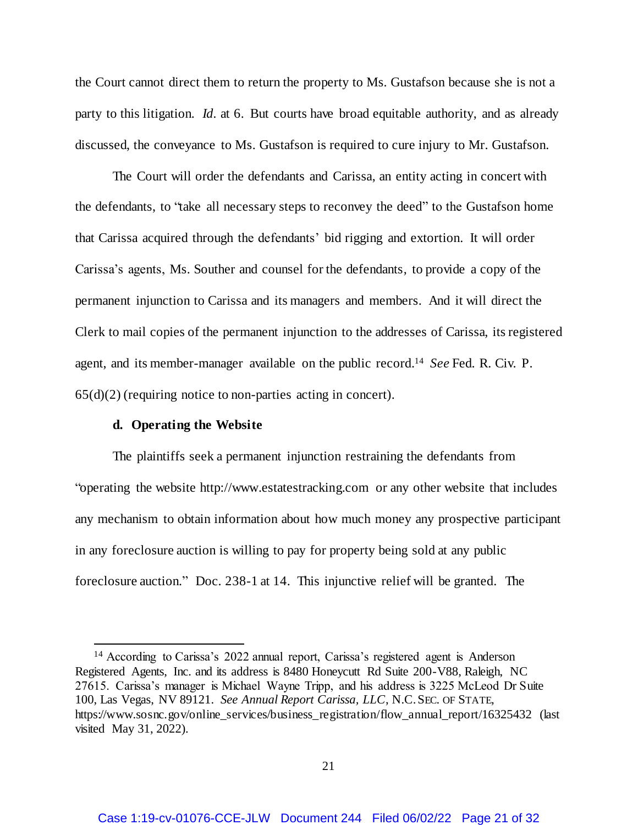the Court cannot direct them to return the property to Ms. Gustafson because she is not a party to this litigation. *Id.* at 6. But courts have broad equitable authority, and as already discussed, the conveyance to Ms. Gustafson is required to cure injury to Mr. Gustafson.

The Court will order the defendants and Carissa, an entity acting in concert with the defendants, to "take all necessary steps to reconvey the deed" to the Gustafson home that Carissa acquired through the defendants' bid rigging and extortion. It will order Carissa's agents, Ms. Souther and counsel for the defendants, to provide a copy of the permanent injunction to Carissa and its managers and members. And it will direct the Clerk to mail copies of the permanent injunction to the addresses of Carissa, its registered agent, and its member-manager available on the public record. <sup>14</sup> *See* Fed. R. Civ. P.  $65(d)(2)$  (requiring notice to non-parties acting in concert).

### **d. Operating the Website**

j

The plaintiffs seek a permanent injunction restraining the defendants from "operating the website http://www.estatestracking.com or any other website that includes any mechanism to obtain information about how much money any prospective participant in any foreclosure auction is willing to pay for property being sold at any public foreclosure auction." Doc. 238-1 at 14. This injunctive relief will be granted. The

<sup>14</sup> According to Carissa's 2022 annual report, Carissa's registered agent is Anderson Registered Agents, Inc. and its address is 8480 Honeycutt Rd Suite 200-V88, Raleigh, NC 27615. Carissa's manager is Michael Wayne Tripp, and his address is 3225 McLeod Dr Suite 100, Las Vegas, NV 89121. *See Annual Report Carissa, LLC*, N.C.SEC. OF STATE, https://www.sosnc.gov/online\_services/business\_registration/flow\_annual\_report/16325432 (last visited May 31, 2022).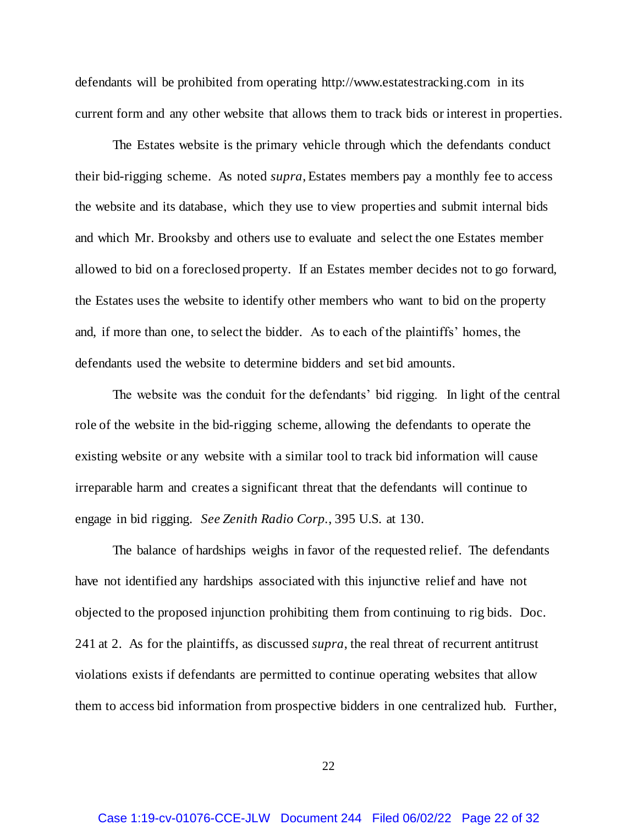defendants will be prohibited from operating http://www.estatestracking.com in its current form and any other website that allows them to track bids or interest in properties.

The Estates website is the primary vehicle through which the defendants conduct their bid-rigging scheme. As noted *supra*, Estates members pay a monthly fee to access the website and its database, which they use to view properties and submit internal bids and which Mr. Brooksby and others use to evaluate and select the one Estates member allowed to bid on a foreclosed property. If an Estates member decides not to go forward, the Estates uses the website to identify other members who want to bid on the property and, if more than one, to select the bidder. As to each of the plaintiffs' homes, the defendants used the website to determine bidders and set bid amounts.

The website was the conduit for the defendants' bid rigging. In light of the central role of the website in the bid-rigging scheme, allowing the defendants to operate the existing website or any website with a similar tool to track bid information will cause irreparable harm and creates a significant threat that the defendants will continue to engage in bid rigging. *See Zenith Radio Corp.*, 395 U.S. at 130.

The balance of hardships weighs in favor of the requested relief. The defendants have not identified any hardships associated with this injunctive relief and have not objected to the proposed injunction prohibiting them from continuing to rig bids. Doc. 241 at 2. As for the plaintiffs, as discussed *supra*, the real threat of recurrent antitrust violations exists if defendants are permitted to continue operating websites that allow them to access bid information from prospective bidders in one centralized hub. Further,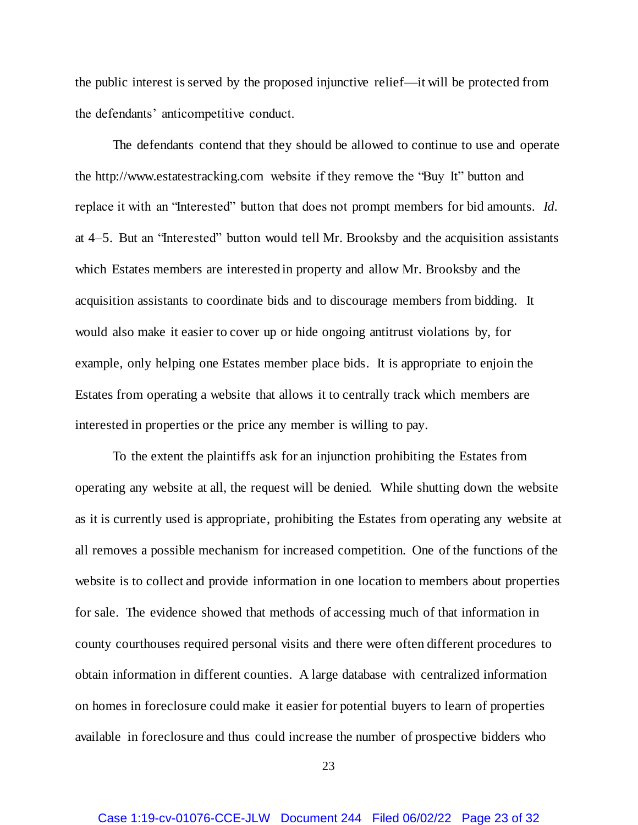the public interest is served by the proposed injunctive relief—it will be protected from the defendants' anticompetitive conduct.

The defendants contend that they should be allowed to continue to use and operate the http://www.estatestracking.com website if they remove the "Buy It" button and replace it with an "Interested" button that does not prompt members for bid amounts. *Id.* at 4–5. But an "Interested" button would tell Mr. Brooksby and the acquisition assistants which Estates members are interested in property and allow Mr. Brooksby and the acquisition assistants to coordinate bids and to discourage members from bidding. It would also make it easier to cover up or hide ongoing antitrust violations by, for example, only helping one Estates member place bids. It is appropriate to enjoin the Estates from operating a website that allows it to centrally track which members are interested in properties or the price any member is willing to pay.

To the extent the plaintiffs ask for an injunction prohibiting the Estates from operating any website at all, the request will be denied. While shutting down the website as it is currently used is appropriate, prohibiting the Estates from operating any website at all removes a possible mechanism for increased competition. One of the functions of the website is to collect and provide information in one location to members about properties for sale. The evidence showed that methods of accessing much of that information in county courthouses required personal visits and there were often different procedures to obtain information in different counties. A large database with centralized information on homes in foreclosure could make it easier for potential buyers to learn of properties available in foreclosure and thus could increase the number of prospective bidders who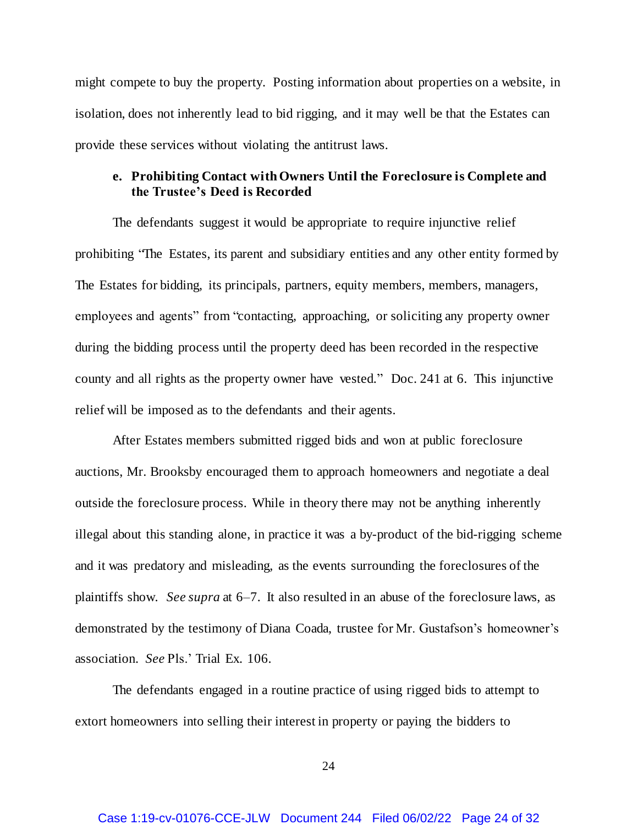might compete to buy the property. Posting information about properties on a website, in isolation, does not inherently lead to bid rigging, and it may well be that the Estates can provide these services without violating the antitrust laws.

# **e. Prohibiting Contact withOwners Until the Foreclosure is Complete and the Trustee's Deed is Recorded**

The defendants suggest it would be appropriate to require injunctive relief prohibiting "The Estates, its parent and subsidiary entities and any other entity formed by The Estates for bidding, its principals, partners, equity members, members, managers, employees and agents" from "contacting, approaching, or soliciting any property owner during the bidding process until the property deed has been recorded in the respective county and all rights as the property owner have vested." Doc. 241 at 6. This injunctive relief will be imposed as to the defendants and their agents.

After Estates members submitted rigged bids and won at public foreclosure auctions, Mr. Brooksby encouraged them to approach homeowners and negotiate a deal outside the foreclosure process. While in theory there may not be anything inherently illegal about this standing alone, in practice it was a by-product of the bid-rigging scheme and it was predatory and misleading, as the events surrounding the foreclosures of the plaintiffs show. *See supra* at 6–7. It also resulted in an abuse of the foreclosure laws, as demonstrated by the testimony of Diana Coada, trustee for Mr. Gustafson's homeowner's association. *See* Pls.' Trial Ex. 106.

The defendants engaged in a routine practice of using rigged bids to attempt to extort homeowners into selling their interest in property or paying the bidders to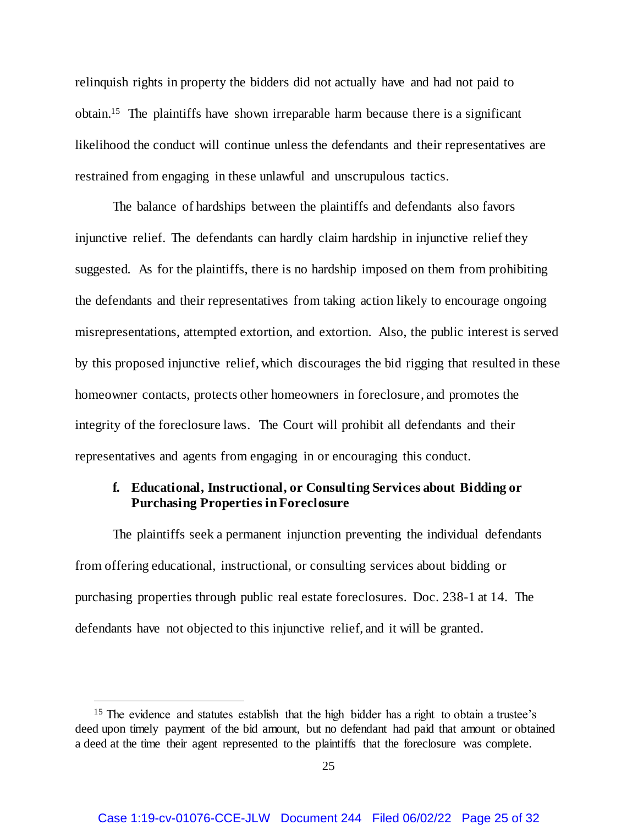relinquish rights in property the bidders did not actually have and had not paid to obtain. 15 The plaintiffs have shown irreparable harm because there is a significant likelihood the conduct will continue unless the defendants and their representatives are restrained from engaging in these unlawful and unscrupulous tactics.

The balance of hardships between the plaintiffs and defendants also favors injunctive relief. The defendants can hardly claim hardship in injunctive relief they suggested. As for the plaintiffs, there is no hardship imposed on them from prohibiting the defendants and their representatives from taking action likely to encourage ongoing misrepresentations, attempted extortion, and extortion. Also, the public interest is served by this proposed injunctive relief, which discourages the bid rigging that resulted in these homeowner contacts, protects other homeowners in foreclosure, and promotes the integrity of the foreclosure laws. The Court will prohibit all defendants and their representatives and agents from engaging in or encouraging this conduct.

# **f. Educational, Instructional, or Consulting Services about Bidding or Purchasing Properties in Foreclosure**

The plaintiffs seek a permanent injunction preventing the individual defendants from offering educational, instructional, or consulting services about bidding or purchasing properties through public real estate foreclosures. Doc. 238-1 at 14. The defendants have not objected to this injunctive relief, and it will be granted.

<sup>&</sup>lt;sup>15</sup> The evidence and statutes establish that the high bidder has a right to obtain a trustee's deed upon timely payment of the bid amount, but no defendant had paid that amount or obtained a deed at the time their agent represented to the plaintiffs that the foreclosure was complete.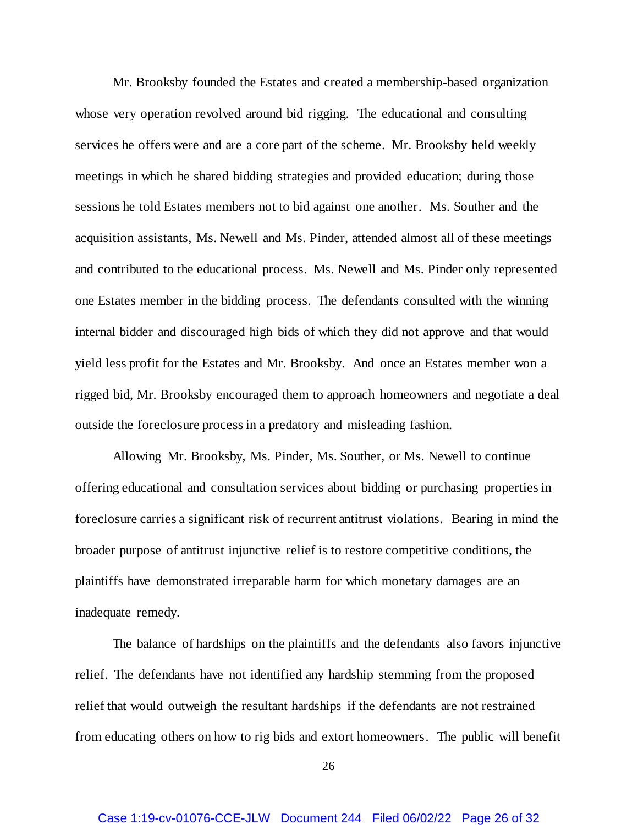Mr. Brooksby founded the Estates and created a membership-based organization whose very operation revolved around bid rigging. The educational and consulting services he offers were and are a core part of the scheme. Mr. Brooksby held weekly meetings in which he shared bidding strategies and provided education; during those sessions he told Estates members not to bid against one another. Ms. Souther and the acquisition assistants, Ms. Newell and Ms. Pinder, attended almost all of these meetings and contributed to the educational process. Ms. Newell and Ms. Pinder only represented one Estates member in the bidding process. The defendants consulted with the winning internal bidder and discouraged high bids of which they did not approve and that would yield less profit for the Estates and Mr. Brooksby. And once an Estates member won a rigged bid, Mr. Brooksby encouraged them to approach homeowners and negotiate a deal outside the foreclosure process in a predatory and misleading fashion.

Allowing Mr. Brooksby, Ms. Pinder, Ms. Souther, or Ms. Newell to continue offering educational and consultation services about bidding or purchasing properties in foreclosure carries a significant risk of recurrent antitrust violations. Bearing in mind the broader purpose of antitrust injunctive relief is to restore competitive conditions, the plaintiffs have demonstrated irreparable harm for which monetary damages are an inadequate remedy.

The balance of hardships on the plaintiffs and the defendants also favors injunctive relief. The defendants have not identified any hardship stemming from the proposed relief that would outweigh the resultant hardships if the defendants are not restrained from educating others on how to rig bids and extort homeowners. The public will benefit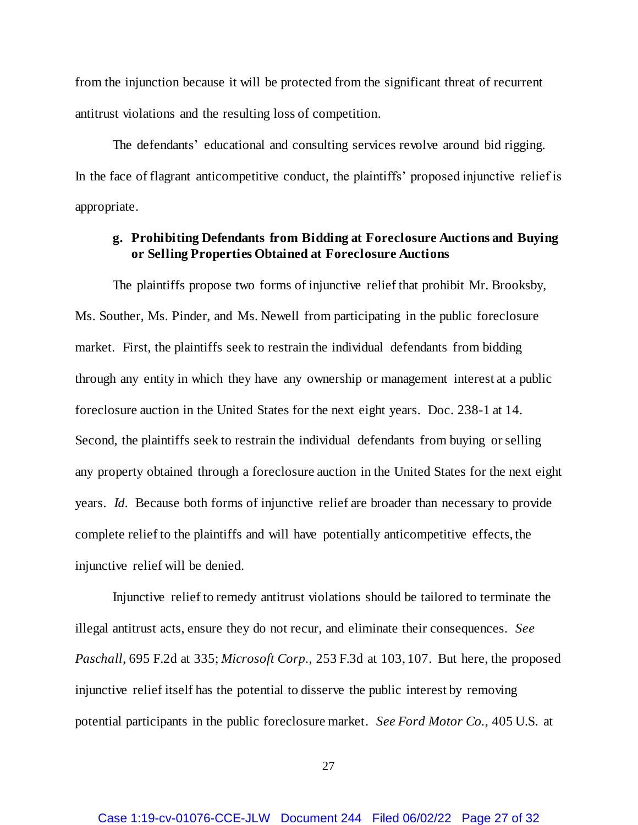from the injunction because it will be protected from the significant threat of recurrent antitrust violations and the resulting loss of competition.

The defendants' educational and consulting services revolve around bid rigging. In the face of flagrant anticompetitive conduct, the plaintiffs' proposed injunctive relief is appropriate.

## **g. Prohibiting Defendants from Bidding at Foreclosure Auctions and Buying or Selling Properties Obtained at Foreclosure Auctions**

The plaintiffs propose two forms of injunctive relief that prohibit Mr. Brooksby, Ms. Souther, Ms. Pinder, and Ms. Newell from participating in the public foreclosure market. First, the plaintiffs seek to restrain the individual defendants from bidding through any entity in which they have any ownership or management interest at a public foreclosure auction in the United States for the next eight years. Doc. 238-1 at 14. Second, the plaintiffs seek to restrain the individual defendants from buying or selling any property obtained through a foreclosure auction in the United States for the next eight years. *Id.* Because both forms of injunctive relief are broader than necessary to provide complete relief to the plaintiffs and will have potentially anticompetitive effects, the injunctive relief will be denied.

Injunctive relief to remedy antitrust violations should be tailored to terminate the illegal antitrust acts, ensure they do not recur, and eliminate their consequences. *See Paschall*, 695 F.2d at 335; *Microsoft Corp.*, 253 F.3d at 103, 107. But here, the proposed injunctive relief itself has the potential to disserve the public interest by removing potential participants in the public foreclosure market. *See Ford Motor Co.*, 405 U.S. at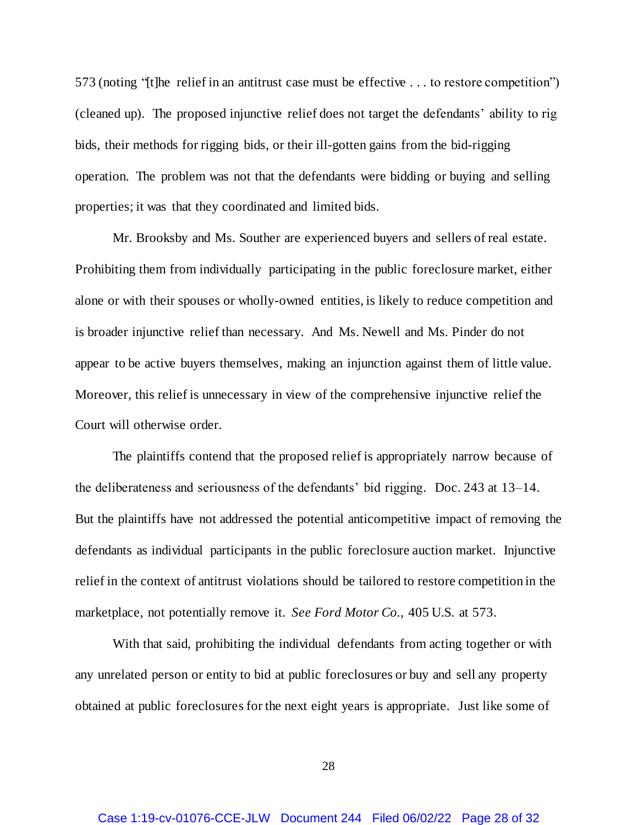573 (noting "[t]he relief in an antitrust case must be effective . . . to restore competition") (cleaned up). The proposed injunctive relief does not target the defendants' ability to rig bids, their methods for rigging bids, or their ill-gotten gains from the bid-rigging operation. The problem was not that the defendants were bidding or buying and selling properties; it was that they coordinated and limited bids.

Mr. Brooksby and Ms. Souther are experienced buyers and sellers of real estate. Prohibiting them from individually participating in the public foreclosure market, either alone or with their spouses or wholly-owned entities, is likely to reduce competition and is broader injunctive relief than necessary. And Ms. Newell and Ms. Pinder do not appear to be active buyers themselves, making an injunction against them of little value. Moreover, this relief is unnecessary in view of the comprehensive injunctive relief the Court will otherwise order.

The plaintiffs contend that the proposed relief is appropriately narrow because of the deliberateness and seriousness of the defendants' bid rigging. Doc. 243 at 13–14. But the plaintiffs have not addressed the potential anticompetitive impact of removing the defendants as individual participants in the public foreclosure auction market. Injunctive relief in the context of antitrust violations should be tailored to restore competition in the marketplace, not potentially remove it. *See Ford Motor Co.*, 405 U.S. at 573.

With that said, prohibiting the individual defendants from acting together or with any unrelated person or entity to bid at public foreclosures or buy and sell any property obtained at public foreclosures for the next eight years is appropriate. Just like some of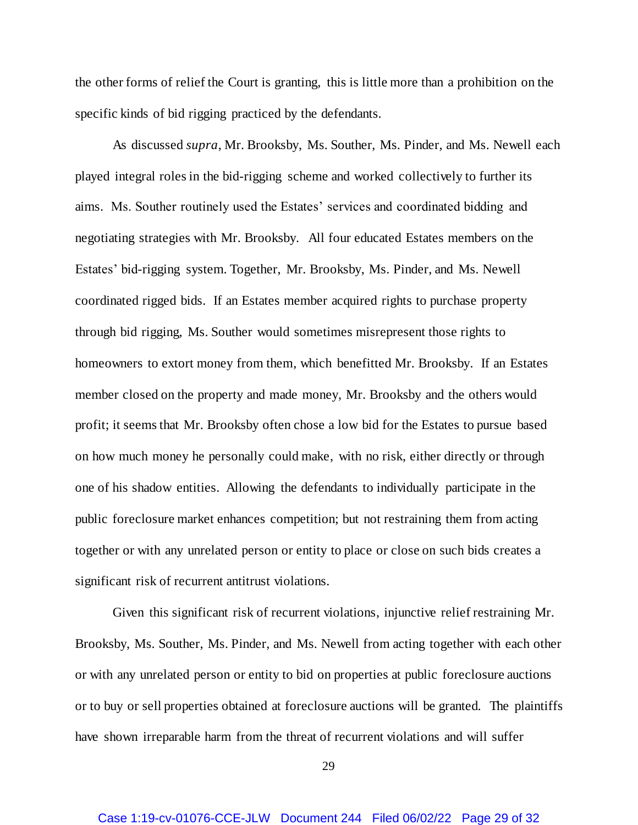the other forms of relief the Court is granting, this is little more than a prohibition on the specific kinds of bid rigging practiced by the defendants.

As discussed *supra*, Mr. Brooksby, Ms. Souther, Ms. Pinder, and Ms. Newell each played integral roles in the bid-rigging scheme and worked collectively to further its aims. Ms. Souther routinely used the Estates' services and coordinated bidding and negotiating strategies with Mr. Brooksby. All four educated Estates members on the Estates' bid-rigging system. Together, Mr. Brooksby, Ms. Pinder, and Ms. Newell coordinated rigged bids. If an Estates member acquired rights to purchase property through bid rigging, Ms. Souther would sometimes misrepresent those rights to homeowners to extort money from them, which benefitted Mr. Brooksby. If an Estates member closed on the property and made money, Mr. Brooksby and the others would profit; it seems that Mr. Brooksby often chose a low bid for the Estates to pursue based on how much money he personally could make, with no risk, either directly or through one of his shadow entities. Allowing the defendants to individually participate in the public foreclosure market enhances competition; but not restraining them from acting together or with any unrelated person or entity to place or close on such bids creates a significant risk of recurrent antitrust violations.

Given this significant risk of recurrent violations, injunctive relief restraining Mr. Brooksby, Ms. Souther, Ms. Pinder, and Ms. Newell from acting together with each other or with any unrelated person or entity to bid on properties at public foreclosure auctions or to buy or sell properties obtained at foreclosure auctions will be granted. The plaintiffs have shown irreparable harm from the threat of recurrent violations and will suffer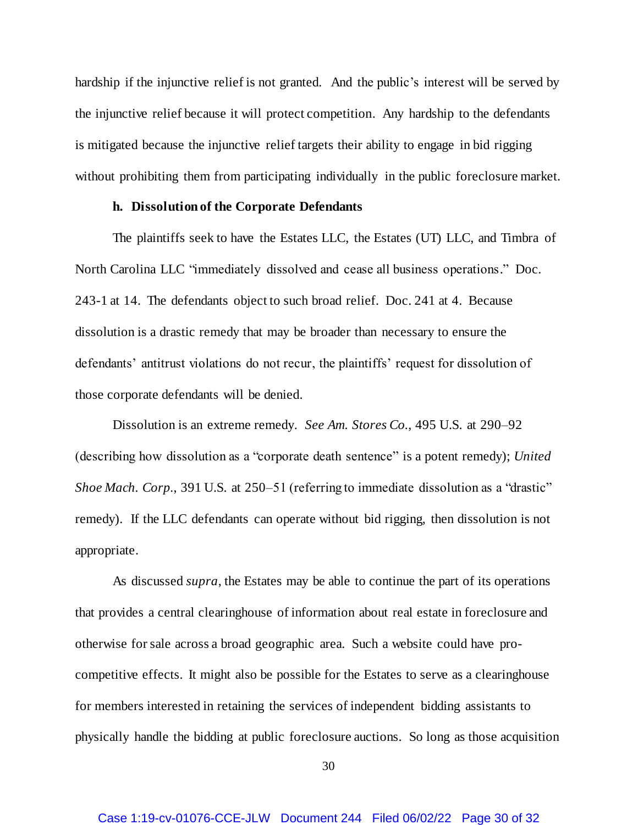hardship if the injunctive relief is not granted. And the public's interest will be served by the injunctive relief because it will protect competition. Any hardship to the defendants is mitigated because the injunctive relief targets their ability to engage in bid rigging without prohibiting them from participating individually in the public foreclosure market.

### **h. Dissolution of the Corporate Defendants**

The plaintiffs seek to have the Estates LLC, the Estates (UT) LLC, and Timbra of North Carolina LLC "immediately dissolved and cease all business operations." Doc. 243-1 at 14. The defendants object to such broad relief. Doc. 241 at 4. Because dissolution is a drastic remedy that may be broader than necessary to ensure the defendants' antitrust violations do not recur, the plaintiffs' request for dissolution of those corporate defendants will be denied.

Dissolution is an extreme remedy. *See Am. Stores Co.*, 495 U.S. at 290–92 (describing how dissolution as a "corporate death sentence" is a potent remedy); *United Shoe Mach. Corp.*, 391 U.S. at 250–51 (referring to immediate dissolution as a "drastic" remedy). If the LLC defendants can operate without bid rigging, then dissolution is not appropriate.

As discussed *supra*, the Estates may be able to continue the part of its operations that provides a central clearinghouse of information about real estate in foreclosure and otherwise for sale across a broad geographic area. Such a website could have procompetitive effects. It might also be possible for the Estates to serve as a clearinghouse for members interested in retaining the services of independent bidding assistants to physically handle the bidding at public foreclosure auctions. So long as those acquisition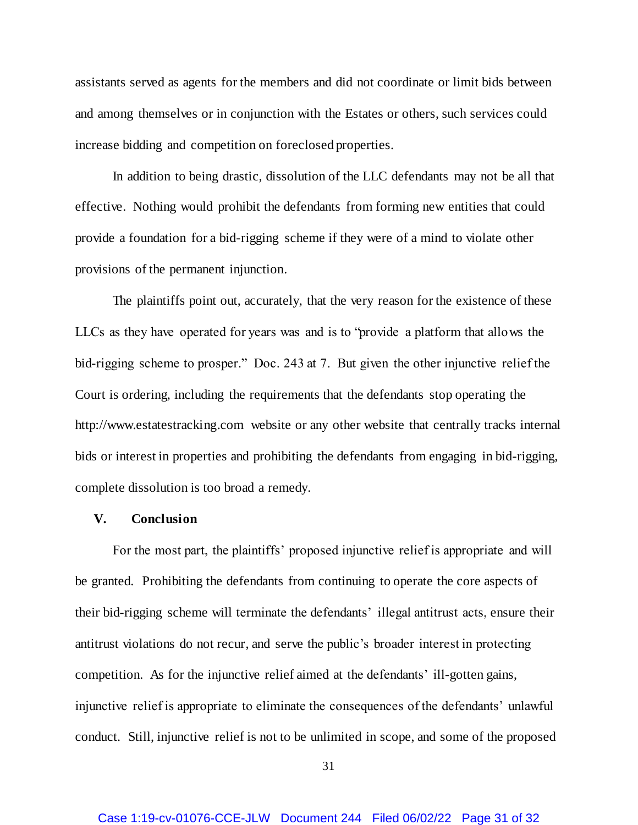assistants served as agents for the members and did not coordinate or limit bids between and among themselves or in conjunction with the Estates or others, such services could increase bidding and competition on foreclosed properties.

In addition to being drastic, dissolution of the LLC defendants may not be all that effective. Nothing would prohibit the defendants from forming new entities that could provide a foundation for a bid-rigging scheme if they were of a mind to violate other provisions of the permanent injunction.

The plaintiffs point out, accurately, that the very reason for the existence of these LLCs as they have operated for years was and is to "provide a platform that allows the bid-rigging scheme to prosper." Doc. 243 at 7. But given the other injunctive relief the Court is ordering, including the requirements that the defendants stop operating the http://www.estatestracking.com website or any other website that centrally tracks internal bids or interest in properties and prohibiting the defendants from engaging in bid-rigging, complete dissolution is too broad a remedy.

### **V. Conclusion**

For the most part, the plaintiffs' proposed injunctive relief is appropriate and will be granted. Prohibiting the defendants from continuing to operate the core aspects of their bid-rigging scheme will terminate the defendants' illegal antitrust acts, ensure their antitrust violations do not recur, and serve the public's broader interest in protecting competition. As for the injunctive relief aimed at the defendants' ill-gotten gains, injunctive relief is appropriate to eliminate the consequences of the defendants' unlawful conduct. Still, injunctive relief is not to be unlimited in scope, and some of the proposed